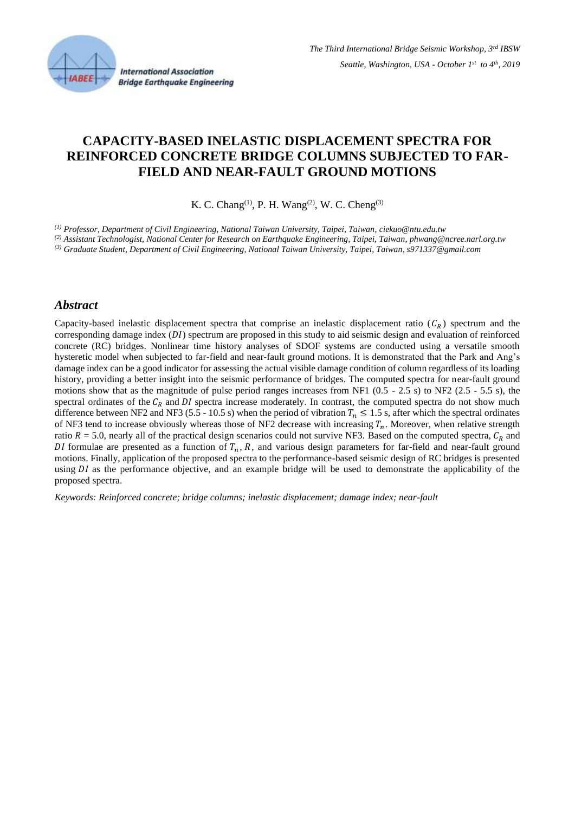

# **CAPACITY-BASED INELASTIC DISPLACEMENT SPECTRA FOR REINFORCED CONCRETE BRIDGE COLUMNS SUBJECTED TO FAR-FIELD AND NEAR-FAULT GROUND MOTIONS**

K. C. Chang<sup>(1)</sup>, P. H. Wang<sup>(2)</sup>, W. C. Cheng<sup>(3)</sup>

*(1) Professor, Department of Civil Engineering, National Taiwan University, Taipei, Taiwan, ciekuo@ntu.edu.tw*

*(2) Assistant Technologist, National Center for Research on Earthquake Engineering, Taipei, Taiwan, phwang@ncree.narl.org.tw*

*(3) Graduate Student, Department of Civil Engineering, National Taiwan University, Taipei, Taiwan, s971337@gmail.com*

#### *Abstract*

Capacity-based inelastic displacement spectra that comprise an inelastic displacement ratio ( $C_R$ ) spectrum and the corresponding damage index  $(DI)$  spectrum are proposed in this study to aid seismic design and evaluation of reinforced concrete (RC) bridges. Nonlinear time history analyses of SDOF systems are conducted using a versatile smooth hysteretic model when subjected to far-field and near-fault ground motions. It is demonstrated that the Park and Ang's damage index can be a good indicator for assessing the actual visible damage condition of column regardless of its loading history, providing a better insight into the seismic performance of bridges. The computed spectra for near-fault ground motions show that as the magnitude of pulse period ranges increases from NF1 (0.5 - 2.5 s) to NF2 (2.5 - 5.5 s), the spectral ordinates of the  $C_R$  and  $DI$  spectra increase moderately. In contrast, the computed spectra do not show much difference between NF2 and NF3 (5.5 - 10.5 s) when the period of vibration  $T_n \le 1.5$  s, after which the spectral ordinates of NF3 tend to increase obviously whereas those of NF2 decrease with increasing  $T_n$ . Moreover, when relative strength ratio  $R = 5.0$ , nearly all of the practical design scenarios could not survive NF3. Based on the computed spectra,  $C_R$  and DI formulae are presented as a function of  $T_n$ , R, and various design parameters for far-field and near-fault ground motions. Finally, application of the proposed spectra to the performance-based seismic design of RC bridges is presented using DI as the performance objective, and an example bridge will be used to demonstrate the applicability of the proposed spectra.

*Keywords: Reinforced concrete; bridge columns; inelastic displacement; damage index; near-fault*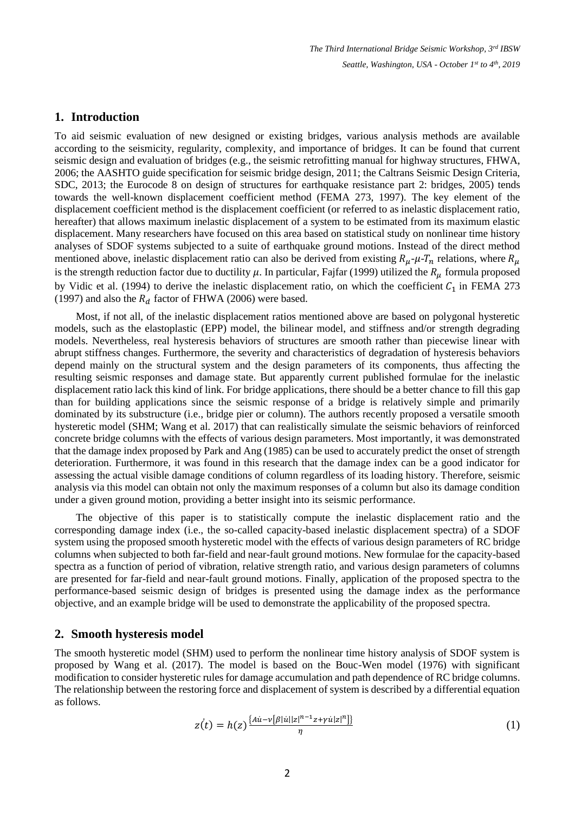### **1. Introduction**

To aid seismic evaluation of new designed or existing bridges, various analysis methods are available according to the seismicity, regularity, complexity, and importance of bridges. It can be found that current seismic design and evaluation of bridges (e.g., the seismic retrofitting manual for highway structures, FHWA, 2006; the AASHTO guide specification for seismic bridge design, 2011; the Caltrans Seismic Design Criteria, SDC, 2013; the Eurocode 8 on design of structures for earthquake resistance part 2: bridges, 2005) tends towards the well-known displacement coefficient method (FEMA 273, 1997). The key element of the displacement coefficient method is the displacement coefficient (or referred to as inelastic displacement ratio, hereafter) that allows maximum inelastic displacement of a system to be estimated from its maximum elastic displacement. Many researchers have focused on this area based on statistical study on nonlinear time history analyses of SDOF systems subjected to a suite of earthquake ground motions. Instead of the direct method mentioned above, inelastic displacement ratio can also be derived from existing  $R_\mu$ - $\mu$ - $T_n$  relations, where  $R_\mu$ is the strength reduction factor due to ductility  $\mu$ . In particular, Fajfar (1999) utilized the  $R_\mu$  formula proposed by Vidic et al. (1994) to derive the inelastic displacement ratio, on which the coefficient  $C_1$  in FEMA 273 (1997) and also the  $R_d$  factor of FHWA (2006) were based.

Most, if not all, of the inelastic displacement ratios mentioned above are based on polygonal hysteretic models, such as the elastoplastic (EPP) model, the bilinear model, and stiffness and/or strength degrading models. Nevertheless, real hysteresis behaviors of structures are smooth rather than piecewise linear with abrupt stiffness changes. Furthermore, the severity and characteristics of degradation of hysteresis behaviors depend mainly on the structural system and the design parameters of its components, thus affecting the resulting seismic responses and damage state. But apparently current published formulae for the inelastic displacement ratio lack this kind of link. For bridge applications, there should be a better chance to fill this gap than for building applications since the seismic response of a bridge is relatively simple and primarily dominated by its substructure (i.e., bridge pier or column). The authors recently proposed a versatile smooth hysteretic model (SHM; Wang et al. 2017) that can realistically simulate the seismic behaviors of reinforced concrete bridge columns with the effects of various design parameters. Most importantly, it was demonstrated that the damage index proposed by Park and Ang (1985) can be used to accurately predict the onset of strength deterioration. Furthermore, it was found in this research that the damage index can be a good indicator for assessing the actual visible damage conditions of column regardless of its loading history. Therefore, seismic analysis via this model can obtain not only the maximum responses of a column but also its damage condition under a given ground motion, providing a better insight into its seismic performance.

The objective of this paper is to statistically compute the inelastic displacement ratio and the corresponding damage index (i.e., the so-called capacity-based inelastic displacement spectra) of a SDOF system using the proposed smooth hysteretic model with the effects of various design parameters of RC bridge columns when subjected to both far-field and near-fault ground motions. New formulae for the capacity-based spectra as a function of period of vibration, relative strength ratio, and various design parameters of columns are presented for far-field and near-fault ground motions. Finally, application of the proposed spectra to the performance-based seismic design of bridges is presented using the damage index as the performance objective, and an example bridge will be used to demonstrate the applicability of the proposed spectra.

#### **2. Smooth hysteresis model**

The smooth hysteretic model (SHM) used to perform the nonlinear time history analysis of SDOF system is proposed by Wang et al. (2017). The model is based on the Bouc-Wen model (1976) with significant modification to consider hysteretic rules for damage accumulation and path dependence of RC bridge columns. The relationship between the restoring force and displacement of system is described by a differential equation as follows.

$$
z(t) = h(z) \frac{\{Au - v[\beta |u||z|^{n-1}z + \gamma u|z|^n]\}}{\eta}
$$
\n
$$
(1)
$$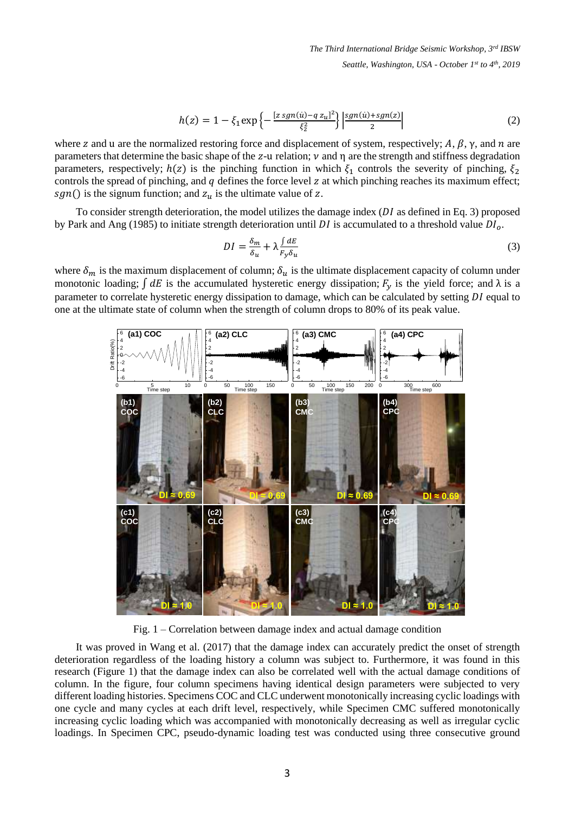$$
h(z) = 1 - \xi_1 \exp\left\{-\frac{[z \, sgn(u) - q \, z_u]^2}{\xi_2^2}\right\} \left|\frac{sgn(u) + sgn(z)}{2}\right| \tag{2}
$$

where z and u are the normalized restoring force and displacement of system, respectively;  $A, \beta, \gamma$ , and  $n$  are parameters that determine the basic shape of the z-u relation;  $\nu$  and  $\eta$  are the strength and stiffness degradation parameters, respectively;  $h(z)$  is the pinching function in which  $\xi_1$  controls the severity of pinching,  $\xi_2$ controls the spread of pinching, and  $q$  defines the force level  $z$  at which pinching reaches its maximum effect; sgn() is the signum function; and  $z_u$  is the ultimate value of z.

To consider strength deterioration, the model utilizes the damage index  $(DI)$  as defined in Eq. 3) proposed by Park and Ang (1985) to initiate strength deterioration until DI is accumulated to a threshold value  $DI<sub>o</sub>$ .

$$
DI = \frac{\delta_m}{\delta_u} + \lambda \frac{\int dE}{F_y \delta_u} \tag{3}
$$

where  $\delta_m$  is the maximum displacement of column;  $\delta_u$  is the ultimate displacement capacity of column under monotonic loading;  $\int dE$  is the accumulated hysteretic energy dissipation;  $F_y$  is the yield force; and  $\lambda$  is a parameter to correlate hysteretic energy dissipation to damage, which can be calculated by setting DI equal to one at the ultimate state of column when the strength of column drops to 80% of its peak value.



Fig. 1 – Correlation between damage index and actual damage condition

It was proved in Wang et al. (2017) that the damage index can accurately predict the onset of strength deterioration regardless of the loading history a column was subject to. Furthermore, it was found in this research (Figure 1) that the damage index can also be correlated well with the actual damage conditions of column. In the figure, four column specimens having identical design parameters were subjected to very different loading histories. Specimens COC and CLC underwent monotonically increasing cyclic loadings with one cycle and many cycles at each drift level, respectively, while Specimen CMC suffered monotonically increasing cyclic loading which was accompanied with monotonically decreasing as well as irregular cyclic loadings. In Specimen CPC, pseudo-dynamic loading test was conducted using three consecutive ground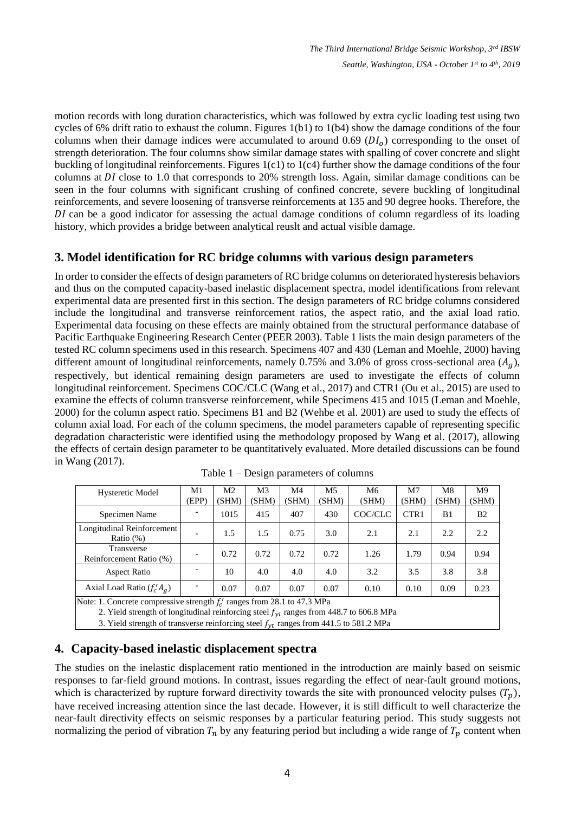motion records with long duration characteristics, which was followed by extra cyclic loading test using two cycles of 6% drift ratio to exhaust the column. Figures 1(b1) to 1(b4) show the damage conditions of the four columns when their damage indices were accumulated to around 0.69 ( $DI<sub>o</sub>$ ) corresponding to the onset of strength deterioration. The four columns show similar damage states with spalling of cover concrete and slight buckling of longitudinal reinforcements. Figures 1(c1) to 1(c4) further show the damage conditions of the four columns at DI close to 1.0 that corresponds to 20% strength loss. Again, similar damage conditions can be seen in the four columns with significant crushing of confined concrete, severe buckling of longitudinal reinforcements, and severe loosening of transverse reinforcements at 135 and 90 degree hooks. Therefore, the DI can be a good indicator for assessing the actual damage conditions of column regardless of its loading history, which provides a bridge between analytical reuslt and actual visible damage.

# **3. Model identification for RC bridge columns with various design parameters**

In order to consider the effects of design parameters of RC bridge columns on deteriorated hysteresis behaviors and thus on the computed capacity-based inelastic displacement spectra, model identifications from relevant experimental data are presented first in this section. The design parameters of RC bridge columns considered include the longitudinal and transverse reinforcement ratios, the aspect ratio, and the axial load ratio. Experimental data focusing on these effects are mainly obtained from the structural performance database of Pacific Earthquake Engineering Research Center (PEER 2003). Table 1 lists the main design parameters of the tested RC column specimens used in this research. Specimens 407 and 430 (Leman and Moehle, 2000) having different amount of longitudinal reinforcements, namely 0.75% and 3.0% of gross cross-sectional area  $(A<sub>a</sub>)$ , respectively, but identical remaining design parameters are used to investigate the effects of column longitudinal reinforcement. Specimens COC/CLC (Wang et al., 2017) and CTR1 (Ou et al., 2015) are used to examine the effects of column transverse reinforcement, while Specimens 415 and 1015 (Leman and Moehle, 2000) for the column aspect ratio. Specimens B1 and B2 (Wehbe et al. 2001) are used to study the effects of column axial load. For each of the column specimens, the model parameters capable of representing specific degradation characteristic were identified using the methodology proposed by Wang et al. (2017), allowing the effects of certain design parameter to be quantitatively evaluated. More detailed discussions can be found in Wang (2017).

| <b>Hysteretic Model</b>                                                                                                                                                                                                                                                | M1<br>(EPP) | M <sub>2</sub><br>(SHM) | M3<br>(SHM) | M4<br>(SHM) | M <sub>5</sub><br>(SHM) | M6<br>(SHM) | M7<br>(SHM)      | M8<br>(SHM) | M9<br>(SHM)    |  |
|------------------------------------------------------------------------------------------------------------------------------------------------------------------------------------------------------------------------------------------------------------------------|-------------|-------------------------|-------------|-------------|-------------------------|-------------|------------------|-------------|----------------|--|
| Specimen Name                                                                                                                                                                                                                                                          |             | 1015                    | 415         | 407         | 430                     | COC/CLC     | CTR <sub>1</sub> | B1          | B <sub>2</sub> |  |
| Longitudinal Reinforcement<br>Ratio $(\%)$                                                                                                                                                                                                                             |             | 1.5                     | 1.5         | 0.75        | 3.0                     | 2.1         | 2.1              | 2.2         | 2.2            |  |
| Transverse<br>Reinforcement Ratio (%)                                                                                                                                                                                                                                  |             | 0.72                    | 0.72        | 0.72        | 0.72                    | 1.26        | 1.79             | 0.94        | 0.94           |  |
| <b>Aspect Ratio</b>                                                                                                                                                                                                                                                    |             | 10                      | 4.0         | 4.0         | 4.0                     | 3.2         | 3.5              | 3.8         | 3.8            |  |
| Axial Load Ratio $(f'_c A_g)$                                                                                                                                                                                                                                          |             | 0.07                    | 0.07        | 0.07        | 0.07                    | 0.10        | 0.10             | 0.09        | 0.23           |  |
| Note: 1. Concrete compressive strength $f'_c$ ranges from 28.1 to 47.3 MPa<br>2. Yield strength of longitudinal reinforcing steel $f_{yl}$ ranges from 448.7 to 606.8 MPa<br>3. Yield strength of transverse reinforcing steel $f_{vt}$ ranges from 441.5 to 581.2 MPa |             |                         |             |             |                         |             |                  |             |                |  |

Table 1 – Design parameters of columns

**4. Capacity-based inelastic displacement spectra**

The studies on the inelastic displacement ratio mentioned in the introduction are mainly based on seismic responses to far-field ground motions. In contrast, issues regarding the effect of near-fault ground motions, which is characterized by rupture forward directivity towards the site with pronounced velocity pulses  $(T_p)$ , have received increasing attention since the last decade. However, it is still difficult to well characterize the near-fault directivity effects on seismic responses by a particular featuring period. This study suggests not normalizing the period of vibration  $T_n$  by any featuring period but including a wide range of  $T_p$  content when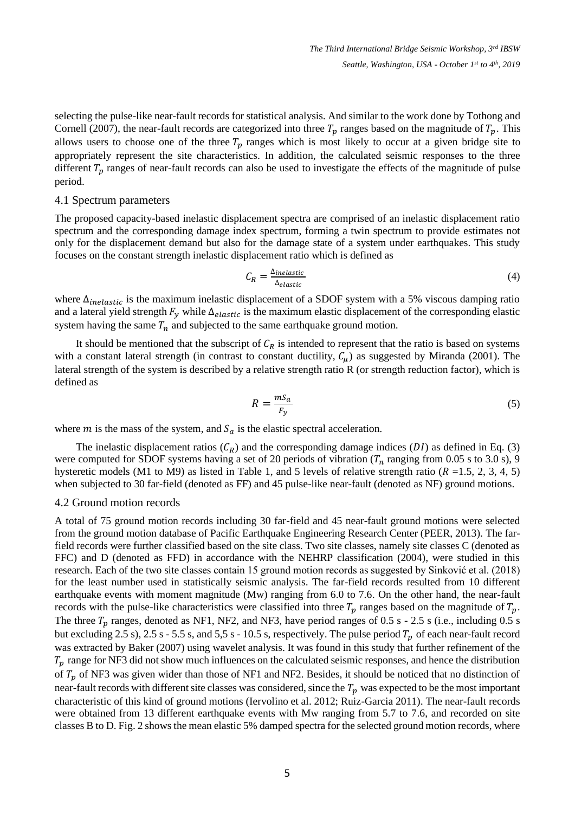selecting the pulse-like near-fault records for statistical analysis. And similar to the work done by Tothong and Cornell (2007), the near-fault records are categorized into three  $T_p$  ranges based on the magnitude of  $T_p$ . This allows users to choose one of the three  $T_p$  ranges which is most likely to occur at a given bridge site to appropriately represent the site characteristics. In addition, the calculated seismic responses to the three different  $T_p$  ranges of near-fault records can also be used to investigate the effects of the magnitude of pulse period.

#### 4.1 Spectrum parameters

The proposed capacity-based inelastic displacement spectra are comprised of an inelastic displacement ratio spectrum and the corresponding damage index spectrum, forming a twin spectrum to provide estimates not only for the displacement demand but also for the damage state of a system under earthquakes. This study focuses on the constant strength inelastic displacement ratio which is defined as

$$
C_R = \frac{\Delta_{inelastic}}{\Delta_{elastic}}\tag{4}
$$

where  $\Delta_{inelastic}$  is the maximum inelastic displacement of a SDOF system with a 5% viscous damping ratio and a lateral yield strength  $F_v$  while  $\Delta_{elastic}$  is the maximum elastic displacement of the corresponding elastic system having the same  $T_n$  and subjected to the same earthquake ground motion.

It should be mentioned that the subscript of  $C_R$  is intended to represent that the ratio is based on systems with a constant lateral strength (in contrast to constant ductility,  $C_{\mu}$ ) as suggested by Miranda (2001). The lateral strength of the system is described by a relative strength ratio R (or strength reduction factor), which is defined as

$$
R = \frac{m s_a}{F_y} \tag{5}
$$

where *m* is the mass of the system, and  $S_a$  is the elastic spectral acceleration.

The inelastic displacement ratios  $(C_R)$  and the corresponding damage indices (DI) as defined in Eq. (3) were computed for SDOF systems having a set of 20 periods of vibration ( $T_n$  ranging from 0.05 s to 3.0 s), 9 hysteretic models (M1 to M9) as listed in Table 1, and 5 levels of relative strength ratio ( $R = 1.5, 2, 3, 4, 5$ ) when subjected to 30 far-field (denoted as FF) and 45 pulse-like near-fault (denoted as NF) ground motions.

#### 4.2 Ground motion records

A total of 75 ground motion records including 30 far-field and 45 near-fault ground motions were selected from the ground motion database of Pacific Earthquake Engineering Research Center (PEER, 2013). The farfield records were further classified based on the site class. Two site classes, namely site classes C (denoted as FFC) and D (denoted as FFD) in accordance with the NEHRP classification (2004), were studied in this research. Each of the two site classes contain 15 ground motion records as suggested by Sinković et al. (2018) for the least number used in statistically seismic analysis. The far-field records resulted from 10 different earthquake events with moment magnitude (Mw) ranging from 6.0 to 7.6. On the other hand, the near-fault records with the pulse-like characteristics were classified into three  $T_p$  ranges based on the magnitude of  $T_p$ . The three  $T_p$  ranges, denoted as NF1, NF2, and NF3, have period ranges of 0.5 s - 2.5 s (i.e., including 0.5 s but excluding 2.5 s), 2.5 s - 5.5 s, and 5,5 s - 10.5 s, respectively. The pulse period  $T_p$  of each near-fault record was extracted by Baker (2007) using wavelet analysis. It was found in this study that further refinement of the  $T_p$  range for NF3 did not show much influences on the calculated seismic responses, and hence the distribution of  $T_p$  of NF3 was given wider than those of NF1 and NF2. Besides, it should be noticed that no distinction of near-fault records with different site classes was considered, since the  $T_p$  was expected to be the most important characteristic of this kind of ground motions (Iervolino et al. 2012; Ruiz-Garcia 2011). The near-fault records were obtained from 13 different earthquake events with Mw ranging from 5.7 to 7.6, and recorded on site classes B to D. Fig. 2 shows the mean elastic 5% damped spectra for the selected ground motion records, where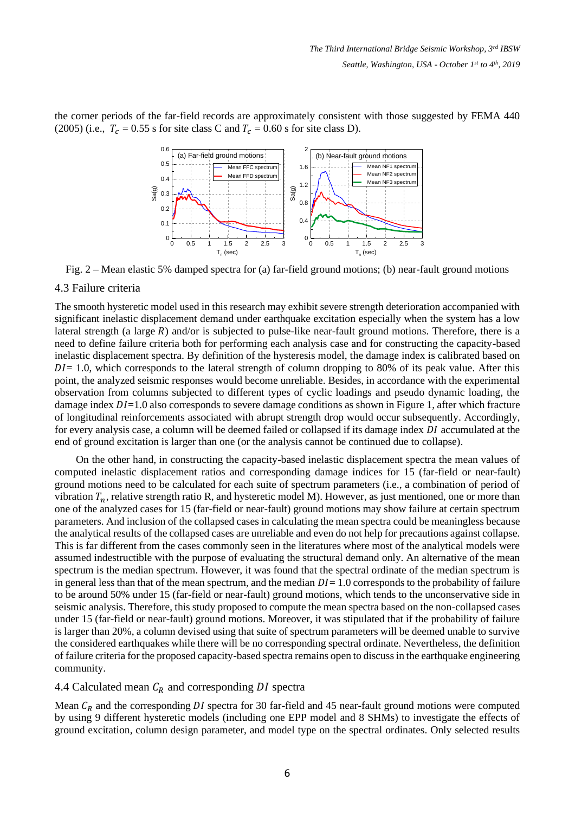the corner periods of the far-field records are approximately consistent with those suggested by FEMA 440 (2005) (i.e.,  $T_c = 0.55$  s for site class C and  $T_c = 0.60$  s for site class D).



Fig. 2 – Mean elastic 5% damped spectra for (a) far-field ground motions; (b) near-fault ground motions

#### 4.3 Failure criteria

The smooth hysteretic model used in this research may exhibit severe strength deterioration accompanied with significant inelastic displacement demand under earthquake excitation especially when the system has a low lateral strength (a large  $R$ ) and/or is subjected to pulse-like near-fault ground motions. Therefore, there is a need to define failure criteria both for performing each analysis case and for constructing the capacity-based inelastic displacement spectra. By definition of the hysteresis model, the damage index is calibrated based on  $DI = 1.0$ , which corresponds to the lateral strength of column dropping to 80% of its peak value. After this point, the analyzed seismic responses would become unreliable. Besides, in accordance with the experimental observation from columns subjected to different types of cyclic loadings and pseudo dynamic loading, the damage index  $DI=1.0$  also corresponds to severe damage conditions as shown in Figure 1, after which fracture of longitudinal reinforcements associated with abrupt strength drop would occur subsequently. Accordingly, for every analysis case, a column will be deemed failed or collapsed if its damage index  $DI$  accumulated at the end of ground excitation is larger than one (or the analysis cannot be continued due to collapse).

On the other hand, in constructing the capacity-based inelastic displacement spectra the mean values of computed inelastic displacement ratios and corresponding damage indices for 15 (far-field or near-fault) ground motions need to be calculated for each suite of spectrum parameters (i.e., a combination of period of vibration  $T_n$ , relative strength ratio R, and hysteretic model M). However, as just mentioned, one or more than one of the analyzed cases for 15 (far-field or near-fault) ground motions may show failure at certain spectrum parameters. And inclusion of the collapsed cases in calculating the mean spectra could be meaningless because the analytical results of the collapsed cases are unreliable and even do not help for precautions against collapse. This is far different from the cases commonly seen in the literatures where most of the analytical models were assumed indestructible with the purpose of evaluating the structural demand only. An alternative of the mean spectrum is the median spectrum. However, it was found that the spectral ordinate of the median spectrum is in general less than that of the mean spectrum, and the median  $DI = 1.0$  corresponds to the probability of failure to be around 50% under 15 (far-field or near-fault) ground motions, which tends to the unconservative side in seismic analysis. Therefore, this study proposed to compute the mean spectra based on the non-collapsed cases under 15 (far-field or near-fault) ground motions. Moreover, it was stipulated that if the probability of failure is larger than 20%, a column devised using that suite of spectrum parameters will be deemed unable to survive the considered earthquakes while there will be no corresponding spectral ordinate. Nevertheless, the definition of failure criteria for the proposed capacity-based spectra remains open to discuss in the earthquake engineering community.

### 4.4 Calculated mean  $C_R$  and corresponding DI spectra

Mean  $C_R$  and the corresponding DI spectra for 30 far-field and 45 near-fault ground motions were computed by using 9 different hysteretic models (including one EPP model and 8 SHMs) to investigate the effects of ground excitation, column design parameter, and model type on the spectral ordinates. Only selected results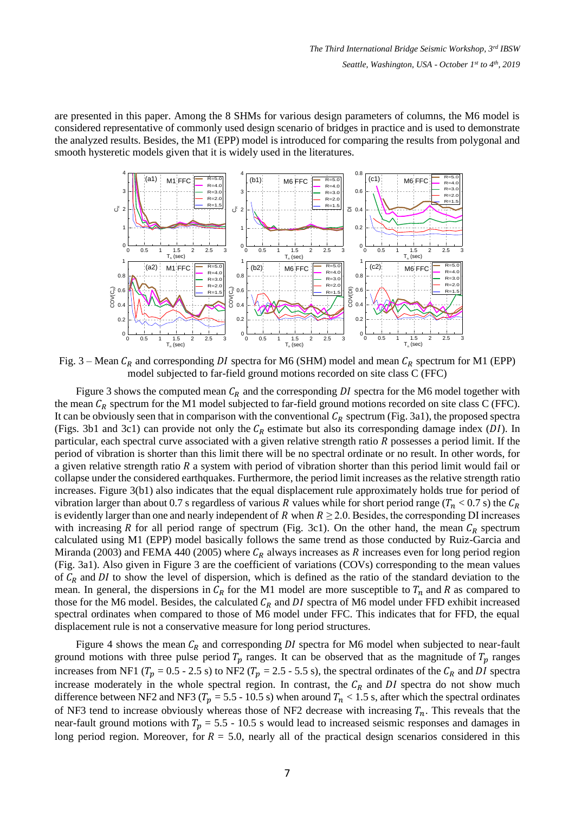are presented in this paper. Among the 8 SHMs for various design parameters of columns, the M6 model is considered representative of commonly used design scenario of bridges in practice and is used to demonstrate the analyzed results. Besides, the M1 (EPP) model is introduced for comparing the results from polygonal and smooth hysteretic models given that it is widely used in the literatures.



Fig. 3 – Mean  $C_R$  and corresponding DI spectra for M6 (SHM) model and mean  $C_R$  spectrum for M1 (EPP) model subjected to far-field ground motions recorded on site class C (FFC)

Figure 3 shows the computed mean  $C_R$  and the corresponding DI spectra for the M6 model together with the mean  $C_R$  spectrum for the M1 model subjected to far-field ground motions recorded on site class C (FFC). It can be obviously seen that in comparison with the conventional  $C_R$  spectrum (Fig. 3a1), the proposed spectra (Figs. 3b1 and 3c1) can provide not only the  $C_R$  estimate but also its corresponding damage index (DI). In particular, each spectral curve associated with a given relative strength ratio  *possesses a period limit. If the* period of vibration is shorter than this limit there will be no spectral ordinate or no result. In other words, for a given relative strength ratio  $R$  a system with period of vibration shorter than this period limit would fail or collapse under the considered earthquakes. Furthermore, the period limit increases as the relative strength ratio increases. Figure 3(b1) also indicates that the equal displacement rule approximately holds true for period of vibration larger than about 0.7 s regardless of various R values while for short period range ( $T_n$  < 0.7 s) the  $C_R$ is evidently larger than one and nearly independent of R when  $R \ge 2.0$ . Besides, the corresponding DI increases with increasing R for all period range of spectrum (Fig. 3c1). On the other hand, the mean  $C_R$  spectrum calculated using M1 (EPP) model basically follows the same trend as those conducted by Ruiz-Garcia and Miranda (2003) and FEMA 440 (2005) where  $C_R$  always increases as R increases even for long period region (Fig. 3a1). Also given in Figure 3 are the coefficient of variations (COVs) corresponding to the mean values of  $C_R$  and DI to show the level of dispersion, which is defined as the ratio of the standard deviation to the mean. In general, the dispersions in  $C_R$  for the M1 model are more susceptible to  $T_n$  and R as compared to those for the M6 model. Besides, the calculated  $C_R$  and DI spectra of M6 model under FFD exhibit increased spectral ordinates when compared to those of M6 model under FFC. This indicates that for FFD, the equal displacement rule is not a conservative measure for long period structures.

Figure 4 shows the mean  $C_R$  and corresponding DI spectra for M6 model when subjected to near-fault ground motions with three pulse period  $T_p$  ranges. It can be observed that as the magnitude of  $T_p$  ranges increases from NF1 ( $T_p = 0.5 - 2.5$  s) to NF2 ( $T_p = 2.5 - 5.5$  s), the spectral ordinates of the  $C_R$  and DI spectra increase moderately in the whole spectral region. In contrast, the  $C_R$  and DI spectra do not show much difference between NF2 and NF3 ( $T_p = 5.5 - 10.5$  s) when around  $T_n < 1.5$  s, after which the spectral ordinates of NF3 tend to increase obviously whereas those of NF2 decrease with increasing  $T_n$ . This reveals that the near-fault ground motions with  $T_p = 5.5 - 10.5$  s would lead to increased seismic responses and damages in long period region. Moreover, for  $R = 5.0$ , nearly all of the practical design scenarios considered in this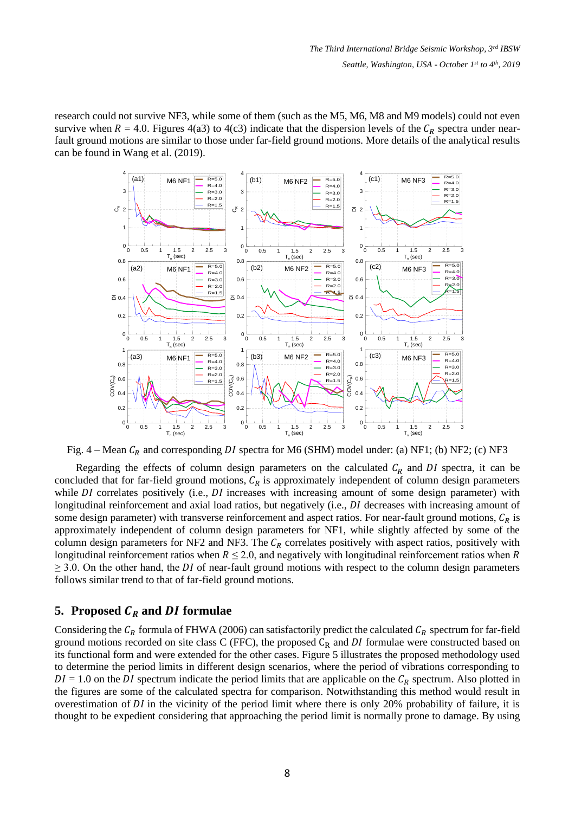research could not survive NF3, while some of them (such as the M5, M6, M8 and M9 models) could not even survive when  $R = 4.0$ . Figures 4(a3) to 4(c3) indicate that the dispersion levels of the  $C_R$  spectra under nearfault ground motions are similar to those under far-field ground motions. More details of the analytical results can be found in Wang et al. (2019).



Fig. 4 – Mean  $C_R$  and corresponding DI spectra for M6 (SHM) model under: (a) NF1; (b) NF2; (c) NF3

Regarding the effects of column design parameters on the calculated  $C_R$  and DI spectra, it can be concluded that for far-field ground motions,  $C_R$  is approximately independent of column design parameters while  $DI$  correlates positively (i.e.,  $DI$  increases with increasing amount of some design parameter) with longitudinal reinforcement and axial load ratios, but negatively (i.e., *DI* decreases with increasing amount of some design parameter) with transverse reinforcement and aspect ratios. For near-fault ground motions,  $C_R$  is approximately independent of column design parameters for NF1, while slightly affected by some of the column design parameters for NF2 and NF3. The  $C_R$  correlates positively with aspect ratios, positively with longitudinal reinforcement ratios when  $R \le 2.0$ , and negatively with longitudinal reinforcement ratios when R  $\geq$  3.0. On the other hand, the *DI* of near-fault ground motions with respect to the column design parameters follows similar trend to that of far-field ground motions.

# **5.** Proposed  $C_R$  and  $DI$  formulae

Considering the  $C_R$  formula of FHWA (2006) can satisfactorily predict the calculated  $C_R$  spectrum for far-field ground motions recorded on site class C (FFC), the proposed  $C_R$  and DI formulae were constructed based on its functional form and were extended for the other cases. Figure 5 illustrates the proposed methodology used to determine the period limits in different design scenarios, where the period of vibrations corresponding to  $DI = 1.0$  on the DI spectrum indicate the period limits that are applicable on the  $C_R$  spectrum. Also plotted in the figures are some of the calculated spectra for comparison. Notwithstanding this method would result in overestimation of  $DI$  in the vicinity of the period limit where there is only 20% probability of failure, it is thought to be expedient considering that approaching the period limit is normally prone to damage. By using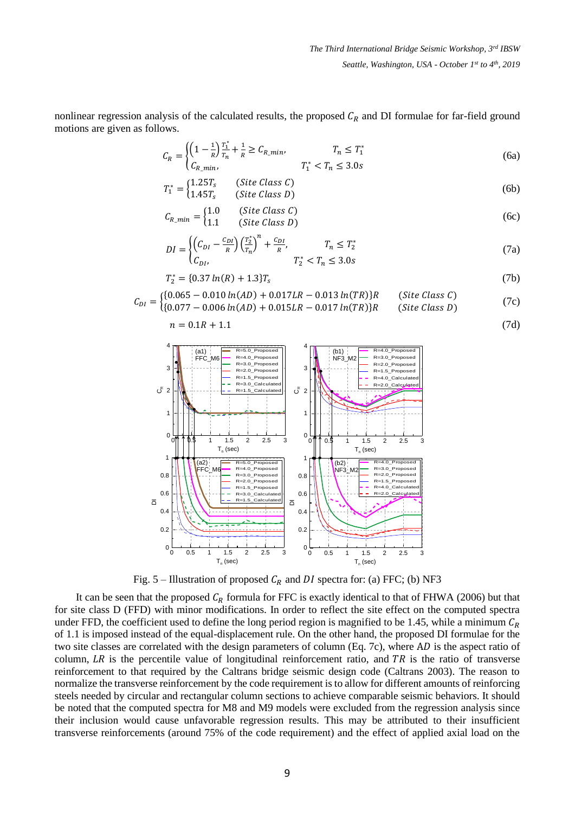nonlinear regression analysis of the calculated results, the proposed  $C_R$  and DI formulae for far-field ground motions are given as follows.

$$
C_R = \begin{cases} \left(1 - \frac{1}{R}\right) \frac{T_1^*}{T_n} + \frac{1}{R} \ge C_{R\_min}, & T_n \le T_1^*\\ C_{R\_min}, & T_1^* < T_n \le 3.0s \end{cases} \tag{6a}
$$

$$
T_1^* = \begin{cases} 1.25T_s & \text{(Site Class } C) \\ 1.45T_s & \text{(Site Class } D) \end{cases} \tag{6b}
$$

$$
C_{R\_min} = \begin{cases} 1.0 & (\text{Site Class } C) \\ 1.1 & (\text{Site Class } D) \end{cases}
$$
 (6c)

$$
DI = \begin{cases} \left(C_{DI} - \frac{C_{DI}}{R}\right) \left(\frac{T_2^*}{T_n}\right)^n + \frac{C_{DI}}{R}, & T_n \le T_2^*\\ C_{DI}, & T_2^* < T_n \le 3.0s \end{cases} \tag{7a}
$$

$$
T_2^* = \{0.37 \ln(R) + 1.3\} T_s \tag{7b}
$$

$$
C_{DI} = \begin{cases} \{0.065 - 0.010 \ln(AD) + 0.017LR - 0.013 \ln(TR)\}R & (\text{Site Class } C) \\ \{0.077 - 0.006 \ln(AD) + 0.015LR - 0.017 \ln(TR)\}R & (\text{Site Class } D) \end{cases} \tag{7c}
$$

$$
n = 0.1R + 1.1 \tag{7d}
$$



Fig. 5 – Illustration of proposed  $C_R$  and DI spectra for: (a) FFC; (b) NF3

It can be seen that the proposed  $C_R$  formula for FFC is exactly identical to that of FHWA (2006) but that for site class D (FFD) with minor modifications. In order to reflect the site effect on the computed spectra under FFD, the coefficient used to define the long period region is magnified to be 1.45, while a minimum  $C_R$ of 1.1 is imposed instead of the equal-displacement rule. On the other hand, the proposed DI formulae for the two site classes are correlated with the design parameters of column (Eq. 7c), where  $AD$  is the aspect ratio of column,  $LR$  is the percentile value of longitudinal reinforcement ratio, and  $TR$  is the ratio of transverse reinforcement to that required by the Caltrans bridge seismic design code (Caltrans 2003). The reason to normalize the transverse reinforcement by the code requirement is to allow for different amounts of reinforcing steels needed by circular and rectangular column sections to achieve comparable seismic behaviors. It should be noted that the computed spectra for M8 and M9 models were excluded from the regression analysis since their inclusion would cause unfavorable regression results. This may be attributed to their insufficient transverse reinforcements (around 75% of the code requirement) and the effect of applied axial load on the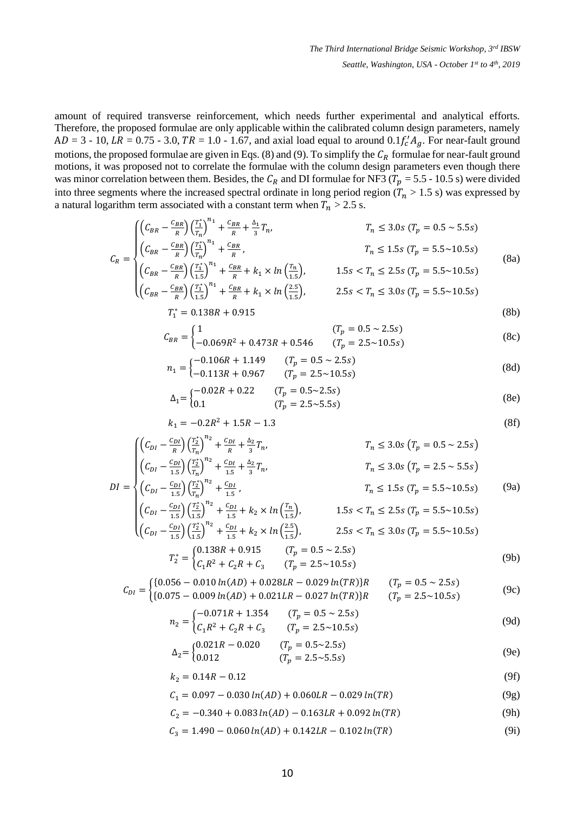amount of required transverse reinforcement, which needs further experimental and analytical efforts. Therefore, the proposed formulae are only applicable within the calibrated column design parameters, namely  $AD = 3 - 10$ ,  $LR = 0.75 - 3.0$ ,  $TR = 1.0 - 1.67$ , and axial load equal to around  $0.1 f'_c A_g$ . For near-fault ground motions, the proposed formulae are given in Eqs. (8) and (9). To simplify the  $C_R$  formulae for near-fault ground motions, it was proposed not to correlate the formulae with the column design parameters even though there was minor correlation between them. Besides, the  $C_R$  and DI formulae for NF3 ( $T_p = 5.5 - 10.5$  s) were divided into three segments where the increased spectral ordinate in long period region ( $T_n > 1.5$  s) was expressed by a natural logarithm term associated with a constant term when  $T_n > 2.5$  s.

$$
C_R = \begin{cases} \left( C_{BR} - \frac{C_{BR}}{R} \right) \left( \frac{T_1^*}{T_n} \right)^{n_1} + \frac{C_{BR}}{R} + \frac{\Delta_1}{3} T_n, & T_n \le 3.0s \ (T_p = 0.5 \sim 5.5s) \\ \left( C_{BR} - \frac{C_{BR}}{R} \right) \left( \frac{T_1^*}{T_n} \right)^{n_1} + \frac{C_{BR}}{R}, & T_n \le 1.5s \ (T_p = 5.5 \sim 10.5s) \\ \left( C_{BR} - \frac{C_{BR}}{R} \right) \left( \frac{T_1^*}{1.5} \right)^{n_1} + \frac{C_{BR}}{R} + k_1 \times \ln \left( \frac{T_n}{1.5} \right), & 1.5s < T_n \le 2.5s \ (T_p = 5.5 \sim 10.5s) \\ \left( C_{BR} - \frac{C_{BR}}{R} \right) \left( \frac{T_1^*}{1.5} \right)^{n_1} + \frac{C_{BR}}{R} + k_1 \times \ln \left( \frac{T_n}{1.5} \right), & 1.5s < T_n \le 2.5s \ (T_p = 5.5 \sim 10.5s) \end{cases} \tag{8a}
$$

$$
\left( \left( C_{BR} - \frac{c_{BR}}{R} \right) \left( \frac{T_1^*}{1.5} \right)^{n_1} + \frac{c_{BR}}{R} + k_1 \times \ln \left( \frac{2.5}{1.5} \right), \right) \qquad 2.5s < T_n \le 3.0s \left( T_p = 5.5 \sim 10.5s \right) \tag{8b}
$$

$$
C_{BR} = \begin{cases} 1 & (T_p = 0.5 \sim 2.5s) \\ -0.069R^2 + 0.473R + 0.546 & (T_p = 2.5 \sim 10.5s) \end{cases}
$$
(8c)

$$
n_1 = \begin{cases} -0.106R + 1.149 & (T_p = 0.5 \sim 2.5s) \\ -0.113R + 0.967 & (T_p = 2.5 \sim 10.5s) \end{cases}
$$
(8d)

$$
\Delta_1 = \begin{cases}\n-0.02R + 0.22 & (T_p = 0.5 \sim 2.5s) \\
0.1 & (T_p = 2.5 \sim 5.5s)\n\end{cases}
$$
\n(8e)

$$
k_1 = -0.2R^2 + 1.5R - 1.3\tag{8f}
$$

$$
\begin{cases}\n\left(C_{DI} - \frac{C_{DI}}{R}\right) \left(\frac{T_2^*}{T_n}\right)^{n_2} + \frac{C_{DI}}{R} + \frac{\Delta_2}{3} T_n, & T_n \le 3.0s \left(T_p = 0.5 \sim 2.5s\right) \\
\left(C_{DI} - \frac{C_{DI}}{1.5}\right) \left(\frac{T_2^*}{T_n}\right)^{n_2} + \frac{C_{DI}}{1.5} + \frac{\Delta_2}{3} T_n, & T_n \le 3.0s \left(T_p = 2.5 \sim 5.5s\right)\n\end{cases}
$$

$$
DI = \begin{cases} \left(C_{DI} - \frac{C_{DI}}{1.5}\right) \left(\frac{T_2^*}{T_n}\right)^{n_2} + \frac{C_{DI}}{1.5}, & T_n \le 1.5s \left(T_p = 5.5 \sim 10.5s\right) \end{cases} \tag{9a}
$$
\n
$$
\left(C - \frac{C_{DI}}{1.5}\right) \left(\frac{T_2^*}{T_n}\right)^{n_2} + \frac{C_{DI}}{1.5} + k \times \ln\left(\frac{T_n}{T_n}\right) \tag{9a}
$$

$$
\begin{cases}\n\left(C_{DI} - \frac{c_{DI}}{1.5}\right) \left(\frac{2}{1.5}\right) & + \frac{c_{DI}}{1.5} + k_2 \times \ln\left(\frac{R}{1.5}\right), & 1.5s < T_n \le 2.5s \left(T_p = 5.5 \sim 10.5s\right) \\
\left(C_{DI} - \frac{c_{DI}}{1.5}\right) \left(\frac{T_2^*}{1.5}\right)^{n_2} + \frac{c_{DI}}{1.5} + k_2 \times \ln\left(\frac{2.5}{1.5}\right), & 2.5s < T_n \le 3.0s \left(T_p = 5.5 \sim 10.5s\right)\n\end{cases}
$$
\n
$$
T_r^*
$$
\n
$$
\begin{cases}\n0.138R + 0.915 & \text{if } (T_p = 0.5 \sim 2.5s)\n\end{cases}
$$
\n
$$
\begin{cases}\n0.138R + 0.915 & \text{if } (T_p = 0.5 \sim 2.5s)\n\end{cases}
$$

$$
T_2^* =\begin{cases} 0.15566 & (1.515) \\ C_1R^2 + C_2R + C_3 & (T_p = 2.5 \sim 10.5s) \end{cases}
$$
(9b)

$$
C_{DI} = \begin{cases} \{0.056 - 0.010 \ln(AD) + 0.028LR - 0.029 \ln(TR)\} R & (T_p = 0.5 \sim 2.5s) \\ \{0.075 - 0.009 \ln(AD) + 0.021LR - 0.027 \ln(TR)\} R & (T_p = 2.5 \sim 10.5s) \end{cases} \tag{9c}
$$

$$
n_2 = \begin{cases} -0.071R + 1.354 & (T_p = 0.5 \sim 2.5s) \\ C_1 R^2 + C_2 R + C_3 & (T_p = 2.5 \sim 10.5s) \end{cases}
$$
(9d)

$$
\Delta_2 = \begin{cases} 0.021R - 0.020 & (T_p = 0.5 \sim 2.5s) \\ 0.012 & (T_p = 2.5 \sim 5.5s) \end{cases} \tag{9e}
$$

$$
k_2 = 0.14R - 0.12\tag{9f}
$$

$$
C_1 = 0.097 - 0.030 \ln(AD) + 0.060LR - 0.029 \ln(TR) \tag{9g}
$$

$$
C_2 = -0.340 + 0.083 \ln(AD) - 0.163LR + 0.092 \ln(TR) \tag{9h}
$$

$$
C_3 = 1.490 - 0.060 \ln(AD) + 0.142LR - 0.102 \ln(TR) \tag{9i}
$$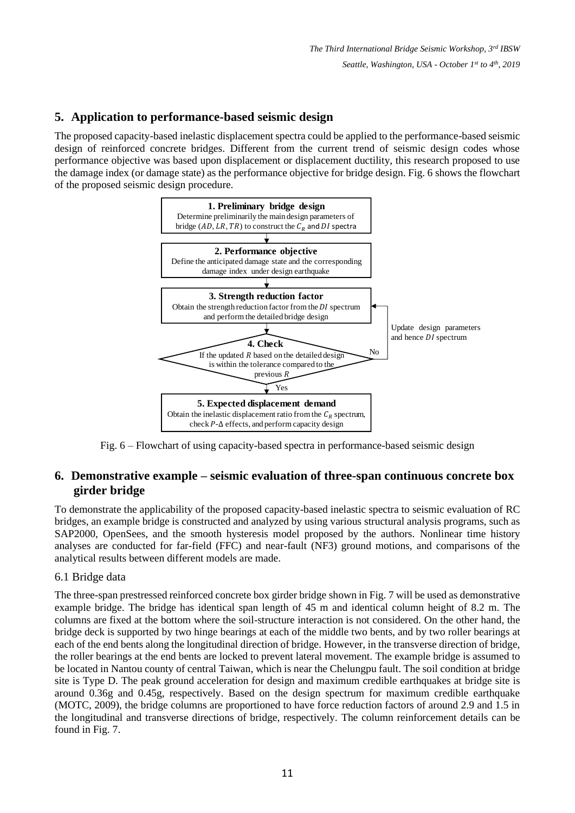# **5. Application to performance-based seismic design**

The proposed capacity-based inelastic displacement spectra could be applied to the performance-based seismic design of reinforced concrete bridges. Different from the current trend of seismic design codes whose performance objective was based upon displacement or displacement ductility, this research proposed to use the damage index (or damage state) as the performance objective for bridge design. Fig. 6 shows the flowchart of the proposed seismic design procedure.



Fig. 6 – Flowchart of using capacity-based spectra in performance-based seismic design

# **6. Demonstrative example – seismic evaluation of three-span continuous concrete box girder bridge**

To demonstrate the applicability of the proposed capacity-based inelastic spectra to seismic evaluation of RC bridges, an example bridge is constructed and analyzed by using various structural analysis programs, such as SAP2000, OpenSees, and the smooth hysteresis model proposed by the authors. Nonlinear time history analyses are conducted for far-field (FFC) and near-fault (NF3) ground motions, and comparisons of the analytical results between different models are made.

### 6.1 Bridge data

The three-span prestressed reinforced concrete box girder bridge shown in Fig. 7 will be used as demonstrative example bridge. The bridge has identical span length of 45 m and identical column height of 8.2 m. The columns are fixed at the bottom where the soil-structure interaction is not considered. On the other hand, the bridge deck is supported by two hinge bearings at each of the middle two bents, and by two roller bearings at each of the end bents along the longitudinal direction of bridge. However, in the transverse direction of bridge, the roller bearings at the end bents are locked to prevent lateral movement. The example bridge is assumed to be located in Nantou county of central Taiwan, which is near the Chelungpu fault. The soil condition at bridge site is Type D. The peak ground acceleration for design and maximum credible earthquakes at bridge site is around 0.36g and 0.45g, respectively. Based on the design spectrum for maximum credible earthquake (MOTC, 2009), the bridge columns are proportioned to have force reduction factors of around 2.9 and 1.5 in the longitudinal and transverse directions of bridge, respectively. The column reinforcement details can be found in Fig. 7.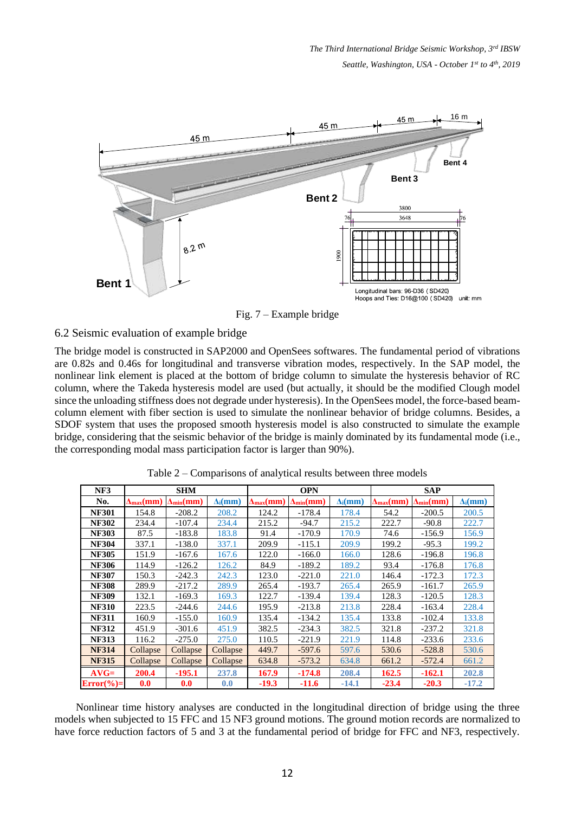

Fig. 7 – Example bridge

### 6.2 Seismic evaluation of example bridge

The bridge model is constructed in SAP2000 and OpenSees softwares. The fundamental period of vibrations are 0.82s and 0.46s for longitudinal and transverse vibration modes, respectively. In the SAP model, the nonlinear link element is placed at the bottom of bridge column to simulate the hysteresis behavior of RC column, where the Takeda hysteresis model are used (but actually, it should be the modified Clough model since the unloading stiffness does not degrade under hysteresis). In the OpenSees model, the force-based beamcolumn element with fiber section is used to simulate the nonlinear behavior of bridge columns. Besides, a SDOF system that uses the proposed smooth hysteresis model is also constructed to simulate the example bridge, considering that the seismic behavior of the bridge is mainly dominated by its fundamental mode (i.e., the corresponding modal mass participation factor is larger than 90%).

| NF3          | <b>SHM</b>                         |                              |                 |                                    | <b>OPN</b>                   |                 | <b>SAP</b>                         |                              |                 |  |
|--------------|------------------------------------|------------------------------|-----------------|------------------------------------|------------------------------|-----------------|------------------------------------|------------------------------|-----------------|--|
| No.          | $\Delta_{\text{max}}(\textbf{mm})$ | $\Delta_{\min}(\textbf{mm})$ | $\Delta_i$ (mm) | $\Delta_{\text{max}}(\textbf{mm})$ | $\Delta_{\min}(\textbf{mm})$ | $\Delta_i$ (mm) | $\Delta_{\text{max}}(\textbf{mm})$ | $\Delta_{\min}(\mathbf{mm})$ | $\Delta_i$ (mm) |  |
| <b>NF301</b> | 154.8                              | $-208.2$                     | 208.2           | 124.2                              | $-178.4$                     | 178.4           | 54.2                               | $-200.5$                     | 200.5           |  |
| <b>NF302</b> | 234.4                              | $-107.4$                     | 234.4           | 215.2                              | $-94.7$                      | 215.2           | 222.7                              | $-90.8$                      | 222.7           |  |
| <b>NF303</b> | 87.5                               | $-183.8$                     | 183.8           | 91.4                               | $-170.9$                     | 170.9           | 74.6                               | $-156.9$                     | 156.9           |  |
| <b>NF304</b> | 337.1                              | $-138.0$                     | 337.1           | 209.9                              | $-115.1$                     | 209.9           | 199.2                              | $-95.3$                      | 199.2           |  |
| <b>NF305</b> | 151.9                              | $-167.6$                     | 167.6           | 122.0                              | $-166.0$                     | 166.0           | 128.6                              | $-196.8$                     | 196.8           |  |
| <b>NF306</b> | 114.9                              | $-126.2$                     | 126.2           | 84.9                               | $-189.2$                     | 189.2           | 93.4                               | $-176.8$                     | 176.8           |  |
| <b>NF307</b> | 150.3                              | $-242.3$                     | 242.3           | 123.0                              | $-221.0$                     | 221.0           | 146.4                              | $-172.3$                     | 172.3           |  |
| <b>NF308</b> | 289.9                              | $-217.2$                     | 289.9           | 265.4                              | $-193.7$                     | 265.4           | 265.9                              | $-161.7$                     | 265.9           |  |
| <b>NF309</b> | 132.1                              | $-169.3$                     | 169.3           | 122.7                              | $-139.4$                     | 139.4           | 128.3                              | $-120.5$                     | 128.3           |  |
| <b>NF310</b> | 223.5                              | $-244.6$                     | 244.6           | 195.9                              | $-213.8$                     | 213.8           | 228.4                              | $-163.4$                     | 228.4           |  |
| <b>NF311</b> | 160.9                              | $-155.0$                     | 160.9           | 135.4                              | $-134.2$                     | 135.4           | 133.8                              | $-102.4$                     | 133.8           |  |
| <b>NF312</b> | 451.9                              | $-301.6$                     | 451.9           | 382.5                              | $-234.3$                     | 382.5           | 321.8                              | $-237.2$                     | 321.8           |  |
| <b>NF313</b> | 116.2                              | $-275.0$                     | 275.0           | 110.5                              | $-221.9$                     | 221.9           | 114.8                              | $-233.6$                     | 233.6           |  |
| <b>NF314</b> | Collapse                           | Collapse                     | Collapse        | 449.7                              | $-597.6$                     | 597.6           | 530.6                              | $-528.8$                     | 530.6           |  |
| <b>NF315</b> | Collapse                           | Collapse                     | Collapse        | 634.8                              | $-573.2$                     | 634.8           | 661.2                              | $-572.4$                     | 661.2           |  |
| $AVG=$       | 200.4                              | $-195.1$                     | 237.8           | 167.9                              | $-174.8$                     | 208.4           | 162.5                              | $-162.1$                     | 202.8           |  |
| $Error(\%)=$ | 0.0                                | 0.0                          | 0.0             | $-19.3$                            | $-11.6$                      | $-14.1$         | $-23.4$                            | $-20.3$                      | $-17.2$         |  |

Table 2 – Comparisons of analytical results between three models

Nonlinear time history analyses are conducted in the longitudinal direction of bridge using the three models when subjected to 15 FFC and 15 NF3 ground motions. The ground motion records are normalized to have force reduction factors of 5 and 3 at the fundamental period of bridge for FFC and NF3, respectively.